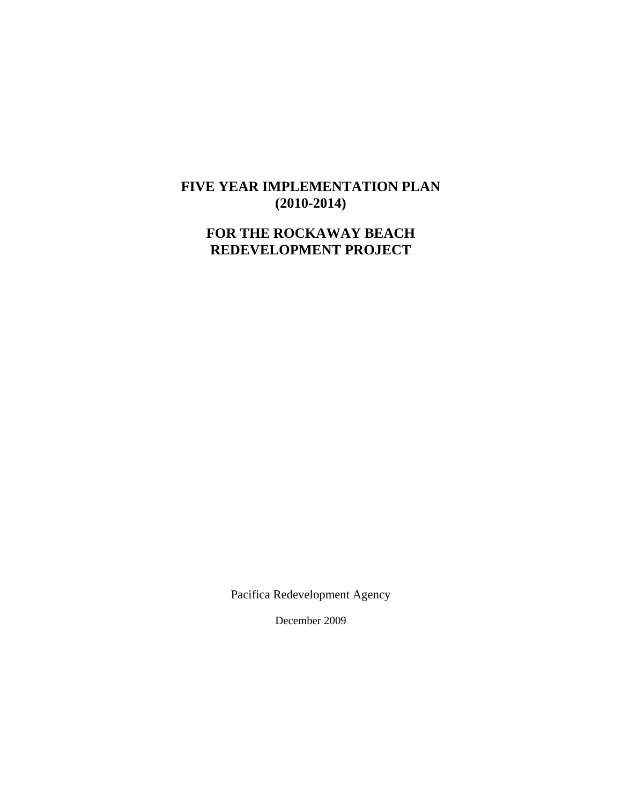# **FIVE YEAR IMPLEMENTATION PLAN (2010-2014)**

# **FOR THE ROCKAWAY BEACH REDEVELOPMENT PROJECT**

Pacifica Redevelopment Agency

December 2009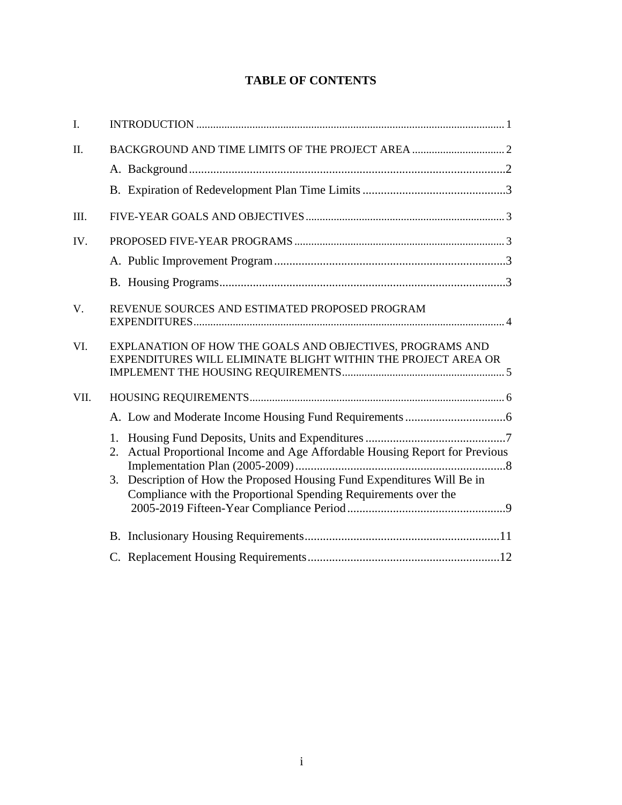# **TABLE OF CONTENTS**

| I.   |                                                                                                                                                                                                                            |
|------|----------------------------------------------------------------------------------------------------------------------------------------------------------------------------------------------------------------------------|
| II.  |                                                                                                                                                                                                                            |
|      |                                                                                                                                                                                                                            |
|      |                                                                                                                                                                                                                            |
| III. |                                                                                                                                                                                                                            |
| IV.  |                                                                                                                                                                                                                            |
|      |                                                                                                                                                                                                                            |
|      |                                                                                                                                                                                                                            |
| V.   | REVENUE SOURCES AND ESTIMATED PROPOSED PROGRAM                                                                                                                                                                             |
| VI.  | EXPLANATION OF HOW THE GOALS AND OBJECTIVES, PROGRAMS AND<br>EXPENDITURES WILL ELIMINATE BLIGHT WITHIN THE PROJECT AREA OR                                                                                                 |
| VII. |                                                                                                                                                                                                                            |
|      |                                                                                                                                                                                                                            |
|      | 2. Actual Proportional Income and Age Affordable Housing Report for Previous<br>3. Description of How the Proposed Housing Fund Expenditures Will Be in<br>Compliance with the Proportional Spending Requirements over the |
|      |                                                                                                                                                                                                                            |
|      |                                                                                                                                                                                                                            |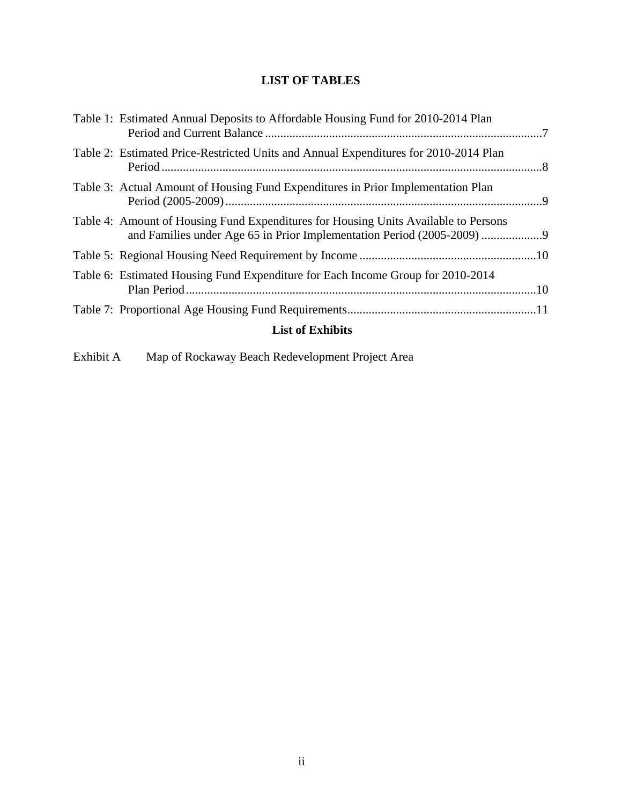# **LIST OF TABLES**

| Table 1: Estimated Annual Deposits to Affordable Housing Fund for 2010-2014 Plan                                                                            |  |
|-------------------------------------------------------------------------------------------------------------------------------------------------------------|--|
| Table 2: Estimated Price-Restricted Units and Annual Expenditures for 2010-2014 Plan                                                                        |  |
| Table 3: Actual Amount of Housing Fund Expenditures in Prior Implementation Plan                                                                            |  |
| Table 4: Amount of Housing Fund Expenditures for Housing Units Available to Persons<br>and Families under Age 65 in Prior Implementation Period (2005-2009) |  |
|                                                                                                                                                             |  |
| Table 6: Estimated Housing Fund Expenditure for Each Income Group for 2010-2014                                                                             |  |
|                                                                                                                                                             |  |
| <b>List of Exhibits</b>                                                                                                                                     |  |

Exhibit A Map of Rockaway Beach Redevelopment Project Area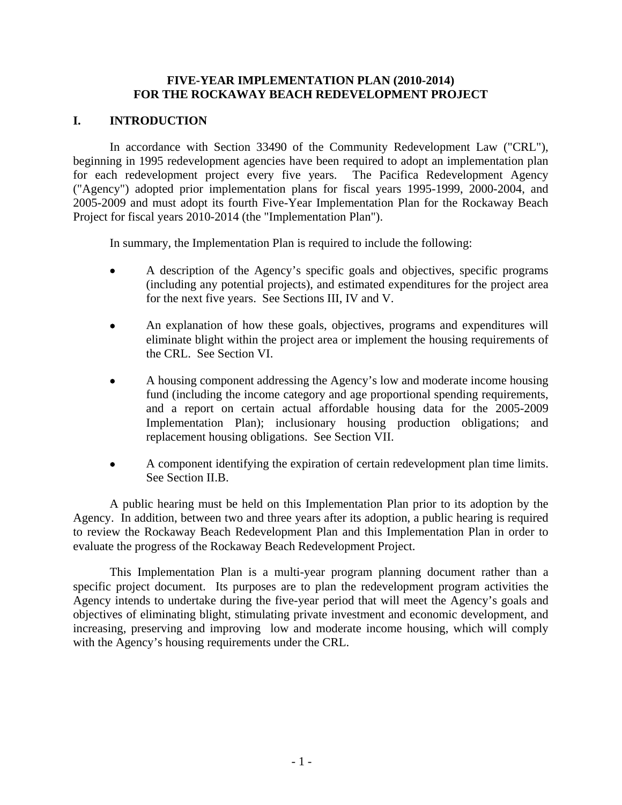### **FIVE-YEAR IMPLEMENTATION PLAN (2010-2014) FOR THE ROCKAWAY BEACH REDEVELOPMENT PROJECT**

# <span id="page-3-0"></span>**I. INTRODUCTION**

In accordance with Section 33490 of the Community Redevelopment Law ("CRL"), beginning in 1995 redevelopment agencies have been required to adopt an implementation plan for each redevelopment project every five years. The Pacifica Redevelopment Agency ("Agency") adopted prior implementation plans for fiscal years 1995-1999, 2000-2004, and 2005-2009 and must adopt its fourth Five-Year Implementation Plan for the Rockaway Beach Project for fiscal years 2010-2014 (the "Implementation Plan").

In summary, the Implementation Plan is required to include the following:

- A description of the Agency's specific goals and objectives, specific programs (including any potential projects), and estimated expenditures for the project area for the next five years. See Sections III, IV and V.
- An explanation of how these goals, objectives, programs and expenditures will eliminate blight within the project area or implement the housing requirements of the CRL. See Section VI.
- A housing component addressing the Agency's low and moderate income housing fund (including the income category and age proportional spending requirements, and a report on certain actual affordable housing data for the 2005-2009 Implementation Plan); inclusionary housing production obligations; and replacement housing obligations. See Section VII.
- A component identifying the expiration of certain redevelopment plan time limits. See Section II.B.

A public hearing must be held on this Implementation Plan prior to its adoption by the Agency. In addition, between two and three years after its adoption, a public hearing is required to review the Rockaway Beach Redevelopment Plan and this Implementation Plan in order to evaluate the progress of the Rockaway Beach Redevelopment Project.

This Implementation Plan is a multi-year program planning document rather than a specific project document. Its purposes are to plan the redevelopment program activities the Agency intends to undertake during the five-year period that will meet the Agency's goals and objectives of eliminating blight, stimulating private investment and economic development, and increasing, preserving and improving low and moderate income housing, which will comply with the Agency's housing requirements under the CRL.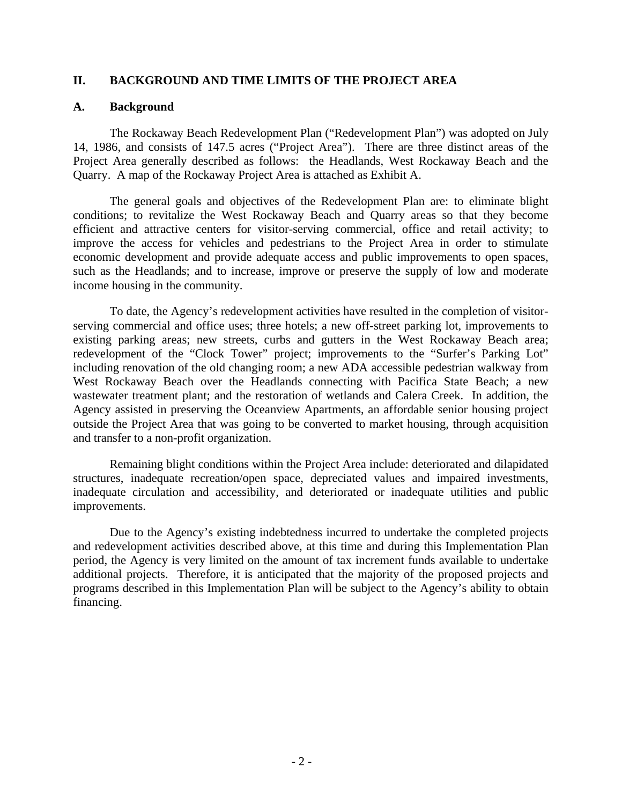### <span id="page-4-0"></span>**II. BACKGROUND AND TIME LIMITS OF THE PROJECT AREA**

### **A. Background**

The Rockaway Beach Redevelopment Plan ("Redevelopment Plan") was adopted on July 14, 1986, and consists of 147.5 acres ("Project Area"). There are three distinct areas of the Project Area generally described as follows: the Headlands, West Rockaway Beach and the Quarry. A map of the Rockaway Project Area is attached as Exhibit A.

The general goals and objectives of the Redevelopment Plan are: to eliminate blight conditions; to revitalize the West Rockaway Beach and Quarry areas so that they become efficient and attractive centers for visitor-serving commercial, office and retail activity; to improve the access for vehicles and pedestrians to the Project Area in order to stimulate economic development and provide adequate access and public improvements to open spaces, such as the Headlands; and to increase, improve or preserve the supply of low and moderate income housing in the community.

To date, the Agency's redevelopment activities have resulted in the completion of visitorserving commercial and office uses; three hotels; a new off-street parking lot, improvements to existing parking areas; new streets, curbs and gutters in the West Rockaway Beach area; redevelopment of the "Clock Tower" project; improvements to the "Surfer's Parking Lot" including renovation of the old changing room; a new ADA accessible pedestrian walkway from West Rockaway Beach over the Headlands connecting with Pacifica State Beach; a new wastewater treatment plant; and the restoration of wetlands and Calera Creek. In addition, the Agency assisted in preserving the Oceanview Apartments, an affordable senior housing project outside the Project Area that was going to be converted to market housing, through acquisition and transfer to a non-profit organization.

Remaining blight conditions within the Project Area include: deteriorated and dilapidated structures, inadequate recreation/open space, depreciated values and impaired investments, inadequate circulation and accessibility, and deteriorated or inadequate utilities and public improvements.

Due to the Agency's existing indebtedness incurred to undertake the completed projects and redevelopment activities described above, at this time and during this Implementation Plan period, the Agency is very limited on the amount of tax increment funds available to undertake additional projects. Therefore, it is anticipated that the majority of the proposed projects and programs described in this Implementation Plan will be subject to the Agency's ability to obtain financing.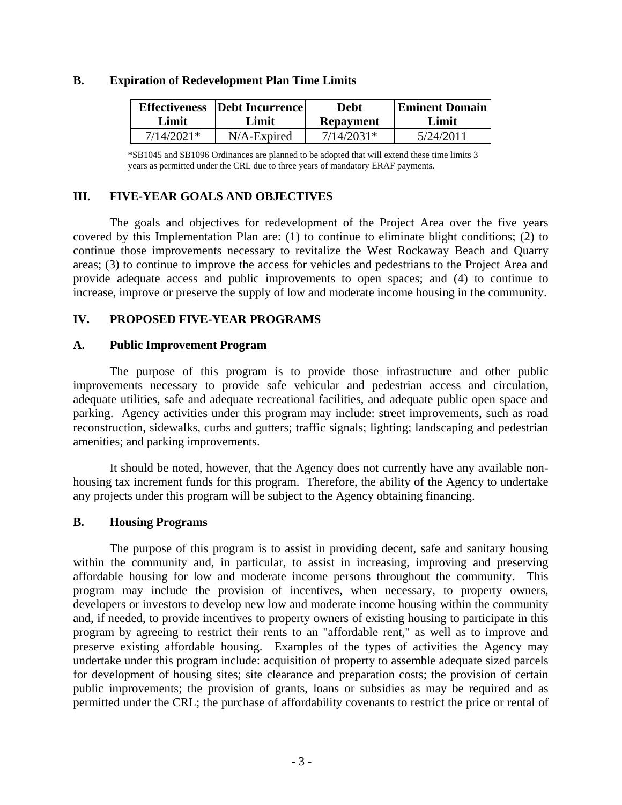#### <span id="page-5-0"></span>**B. Expiration of Redevelopment Plan Time Limits**

| Effectiveness <sup>1</sup> | <b>Debt Incurrence</b> | Debt             | <b>Eminent Domain</b> |
|----------------------------|------------------------|------------------|-----------------------|
| Limit                      | Limit                  | <b>Repayment</b> | Limit                 |
| 7/14/2021*                 | $N/A$ -Expired         | $7/14/2031*$     | 5/24/2011             |

\*SB1045 and SB1096 Ordinances are planned to be adopted that will extend these time limits 3 years as permitted under the CRL due to three years of mandatory ERAF payments.

# **III. FIVE-YEAR GOALS AND OBJECTIVES**

The goals and objectives for redevelopment of the Project Area over the five years covered by this Implementation Plan are: (1) to continue to eliminate blight conditions; (2) to continue those improvements necessary to revitalize the West Rockaway Beach and Quarry areas; (3) to continue to improve the access for vehicles and pedestrians to the Project Area and provide adequate access and public improvements to open spaces; and (4) to continue to increase, improve or preserve the supply of low and moderate income housing in the community.

# **IV. PROPOSED FIVE-YEAR PROGRAMS**

### **A. Public Improvement Program**

The purpose of this program is to provide those infrastructure and other public improvements necessary to provide safe vehicular and pedestrian access and circulation, adequate utilities, safe and adequate recreational facilities, and adequate public open space and parking. Agency activities under this program may include: street improvements, such as road reconstruction, sidewalks, curbs and gutters; traffic signals; lighting; landscaping and pedestrian amenities; and parking improvements.

It should be noted, however, that the Agency does not currently have any available nonhousing tax increment funds for this program. Therefore, the ability of the Agency to undertake any projects under this program will be subject to the Agency obtaining financing.

### **B. Housing Programs**

The purpose of this program is to assist in providing decent, safe and sanitary housing within the community and, in particular, to assist in increasing, improving and preserving affordable housing for low and moderate income persons throughout the community. This program may include the provision of incentives, when necessary, to property owners, developers or investors to develop new low and moderate income housing within the community and, if needed, to provide incentives to property owners of existing housing to participate in this program by agreeing to restrict their rents to an "affordable rent," as well as to improve and preserve existing affordable housing. Examples of the types of activities the Agency may undertake under this program include: acquisition of property to assemble adequate sized parcels for development of housing sites; site clearance and preparation costs; the provision of certain public improvements; the provision of grants, loans or subsidies as may be required and as permitted under the CRL; the purchase of affordability covenants to restrict the price or rental of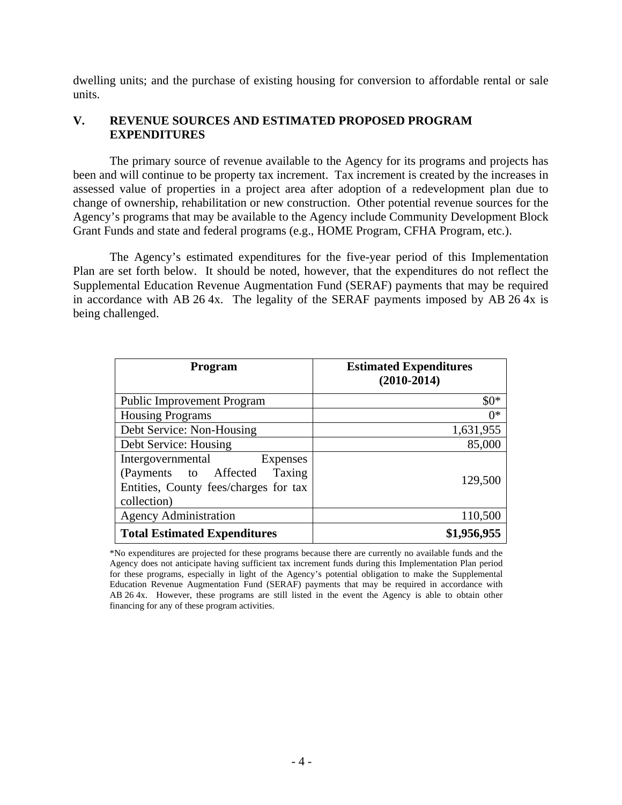<span id="page-6-0"></span>dwelling units; and the purchase of existing housing for conversion to affordable rental or sale units.

# **V. REVENUE SOURCES AND ESTIMATED PROPOSED PROGRAM EXPENDITURES**

The primary source of revenue available to the Agency for its programs and projects has been and will continue to be property tax increment. Tax increment is created by the increases in assessed value of properties in a project area after adoption of a redevelopment plan due to change of ownership, rehabilitation or new construction. Other potential revenue sources for the Agency's programs that may be available to the Agency include Community Development Block Grant Funds and state and federal programs (e.g., HOME Program, CFHA Program, etc.).

The Agency's estimated expenditures for the five-year period of this Implementation Plan are set forth below. It should be noted, however, that the expenditures do not reflect the Supplemental Education Revenue Augmentation Fund (SERAF) payments that may be required in accordance with AB 26 4x. The legality of the SERAF payments imposed by AB 26 4x is being challenged.

| Program                                                                                                                  | <b>Estimated Expenditures</b><br>$(2010-2014)$ |
|--------------------------------------------------------------------------------------------------------------------------|------------------------------------------------|
| <b>Public Improvement Program</b>                                                                                        | $$0*$                                          |
| <b>Housing Programs</b>                                                                                                  | $0*$                                           |
| Debt Service: Non-Housing                                                                                                | 1,631,955                                      |
| Debt Service: Housing                                                                                                    | 85,000                                         |
| Intergovernmental<br>Expenses<br>(Payments to Affected<br>Taxing<br>Entities, County fees/charges for tax<br>collection) | 129,500                                        |
| <b>Agency Administration</b>                                                                                             | 110,500                                        |
| <b>Total Estimated Expenditures</b>                                                                                      | \$1,956,955                                    |

\*No expenditures are projected for these programs because there are currently no available funds and the Agency does not anticipate having sufficient tax increment funds during this Implementation Plan period for these programs, especially in light of the Agency's potential obligation to make the Supplemental Education Revenue Augmentation Fund (SERAF) payments that may be required in accordance with AB 26 4x. However, these programs are still listed in the event the Agency is able to obtain other financing for any of these program activities.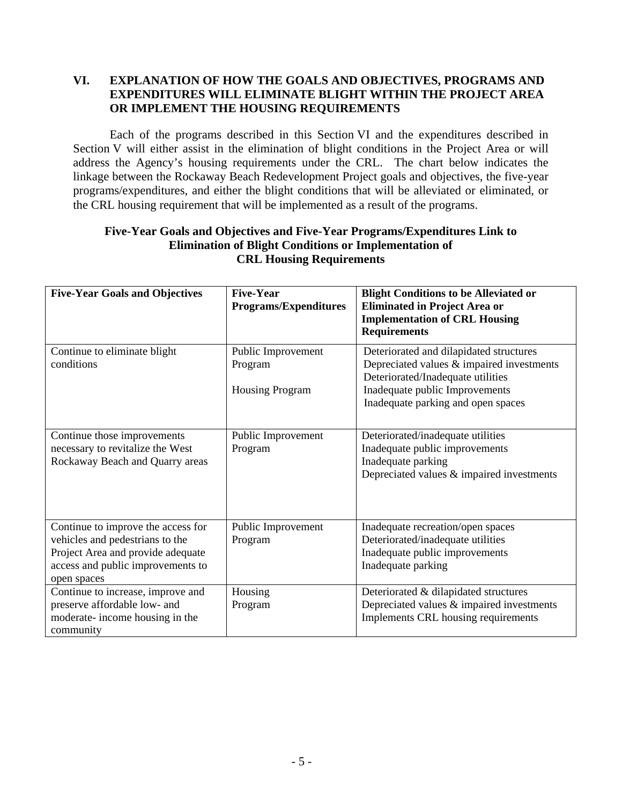# <span id="page-7-0"></span>**VI. EXPLANATION OF HOW THE GOALS AND OBJECTIVES, PROGRAMS AND EXPENDITURES WILL ELIMINATE BLIGHT WITHIN THE PROJECT AREA OR IMPLEMENT THE HOUSING REQUIREMENTS**

Each of the programs described in this Section VI and the expenditures described in Section V will either assist in the elimination of blight conditions in the Project Area or will address the Agency's housing requirements under the CRL. The chart below indicates the linkage between the Rockaway Beach Redevelopment Project goals and objectives, the five-year programs/expenditures, and either the blight conditions that will be alleviated or eliminated, or the CRL housing requirement that will be implemented as a result of the programs.

# **Five-Year Goals and Objectives and Five-Year Programs/Expenditures Link to Elimination of Blight Conditions or Implementation of CRL Housing Requirements**

| <b>Five-Year Goals and Objectives</b>                                                                                                                          | <b>Five-Year</b><br><b>Programs/Expenditures</b>        | <b>Blight Conditions to be Alleviated or</b><br><b>Eliminated in Project Area or</b><br><b>Implementation of CRL Housing</b><br><b>Requirements</b>                                               |
|----------------------------------------------------------------------------------------------------------------------------------------------------------------|---------------------------------------------------------|---------------------------------------------------------------------------------------------------------------------------------------------------------------------------------------------------|
| Continue to eliminate blight<br>conditions                                                                                                                     | Public Improvement<br>Program<br><b>Housing Program</b> | Deteriorated and dilapidated structures<br>Depreciated values & impaired investments<br>Deteriorated/Inadequate utilities<br>Inadequate public Improvements<br>Inadequate parking and open spaces |
|                                                                                                                                                                |                                                         |                                                                                                                                                                                                   |
| Continue those improvements<br>necessary to revitalize the West<br>Rockaway Beach and Quarry areas                                                             | Public Improvement<br>Program                           | Deteriorated/inadequate utilities<br>Inadequate public improvements<br>Inadequate parking<br>Depreciated values & impaired investments                                                            |
| Continue to improve the access for<br>vehicles and pedestrians to the<br>Project Area and provide adequate<br>access and public improvements to<br>open spaces | Public Improvement<br>Program                           | Inadequate recreation/open spaces<br>Deteriorated/inadequate utilities<br>Inadequate public improvements<br>Inadequate parking                                                                    |
| Continue to increase, improve and<br>preserve affordable low- and<br>moderate- income housing in the<br>community                                              | Housing<br>Program                                      | Deteriorated & dilapidated structures<br>Depreciated values & impaired investments<br>Implements CRL housing requirements                                                                         |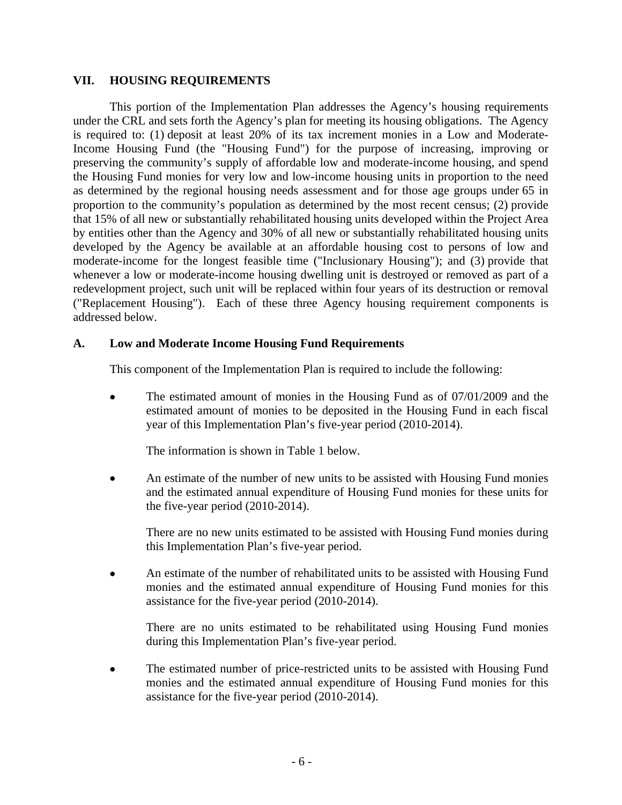#### <span id="page-8-0"></span>**VII. HOUSING REQUIREMENTS**

This portion of the Implementation Plan addresses the Agency's housing requirements under the CRL and sets forth the Agency's plan for meeting its housing obligations. The Agency is required to: (1) deposit at least 20% of its tax increment monies in a Low and Moderate-Income Housing Fund (the "Housing Fund") for the purpose of increasing, improving or preserving the community's supply of affordable low and moderate-income housing, and spend the Housing Fund monies for very low and low-income housing units in proportion to the need as determined by the regional housing needs assessment and for those age groups under 65 in proportion to the community's population as determined by the most recent census; (2) provide that 15% of all new or substantially rehabilitated housing units developed within the Project Area by entities other than the Agency and 30% of all new or substantially rehabilitated housing units developed by the Agency be available at an affordable housing cost to persons of low and moderate-income for the longest feasible time ("Inclusionary Housing"); and (3) provide that whenever a low or moderate-income housing dwelling unit is destroyed or removed as part of a redevelopment project, such unit will be replaced within four years of its destruction or removal ("Replacement Housing"). Each of these three Agency housing requirement components is addressed below.

# **A. Low and Moderate Income Housing Fund Requirements**

This component of the Implementation Plan is required to include the following:

• The estimated amount of monies in the Housing Fund as of 07/01/2009 and the estimated amount of monies to be deposited in the Housing Fund in each fiscal year of this Implementation Plan's five-year period (2010-2014).

The information is shown in Table 1 below.

• An estimate of the number of new units to be assisted with Housing Fund monies and the estimated annual expenditure of Housing Fund monies for these units for the five-year period (2010-2014).

There are no new units estimated to be assisted with Housing Fund monies during this Implementation Plan's five-year period.

• An estimate of the number of rehabilitated units to be assisted with Housing Fund monies and the estimated annual expenditure of Housing Fund monies for this assistance for the five-year period (2010-2014).

There are no units estimated to be rehabilitated using Housing Fund monies during this Implementation Plan's five-year period.

The estimated number of price-restricted units to be assisted with Housing Fund monies and the estimated annual expenditure of Housing Fund monies for this assistance for the five-year period (2010-2014).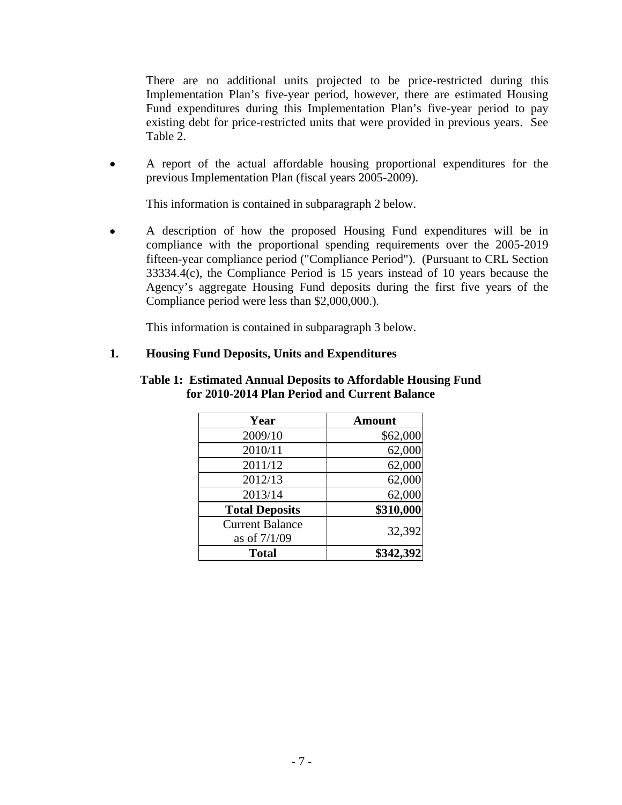<span id="page-9-0"></span>There are no additional units projected to be price-restricted during this Implementation Plan's five-year period, however, there are estimated Housing Fund expenditures during this Implementation Plan's five-year period to pay existing debt for price-restricted units that were provided in previous years. See Table 2.

• A report of the actual affordable housing proportional expenditures for the previous Implementation Plan (fiscal years 2005-2009).

This information is contained in subparagraph 2 below.

• A description of how the proposed Housing Fund expenditures will be in compliance with the proportional spending requirements over the 2005-2019 fifteen-year compliance period ("Compliance Period"). (Pursuant to CRL Section 33334.4(c), the Compliance Period is 15 years instead of 10 years because the Agency's aggregate Housing Fund deposits during the first five years of the Compliance period were less than \$2,000,000.)*.*

This information is contained in subparagraph 3 below.

# **1. Housing Fund Deposits, Units and Expenditures**

| Year                   | <b>Amount</b> |
|------------------------|---------------|
| 2009/10                | \$62,000      |
| 2010/11                | 62,000        |
| 2011/12                | 62,000        |
| 2012/13                | 62,000        |
| 2013/14                | 62,000        |
| <b>Total Deposits</b>  | \$310,000     |
| <b>Current Balance</b> | 32,392        |
| as of 7/1/09           |               |
| <b>Total</b>           | \$342,392     |

#### **Table 1: Estimated Annual Deposits to Affordable Housing Fund for 2010-2014 Plan Period and Current Balance**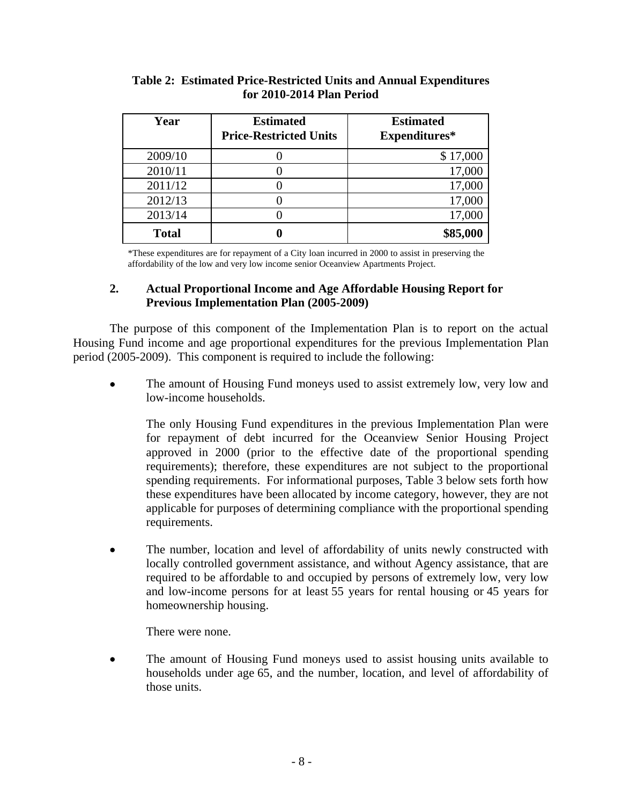| Year         | <b>Estimated</b><br><b>Price-Restricted Units</b> | <b>Estimated</b><br>Expenditures* |
|--------------|---------------------------------------------------|-----------------------------------|
| 2009/10      |                                                   | \$17,000                          |
| 2010/11      |                                                   | 17,000                            |
| 2011/12      |                                                   | 17,000                            |
| 2012/13      |                                                   | 17,000                            |
| 2013/14      |                                                   | 17,000                            |
| <b>Total</b> |                                                   | \$85,000                          |

# <span id="page-10-0"></span>**Table 2: Estimated Price-Restricted Units and Annual Expenditures for 2010-2014 Plan Period**

\*These expenditures are for repayment of a City loan incurred in 2000 to assist in preserving the affordability of the low and very low income senior Oceanview Apartments Project.

# **2. Actual Proportional Income and Age Affordable Housing Report for Previous Implementation Plan (2005-2009)**

The purpose of this component of the Implementation Plan is to report on the actual Housing Fund income and age proportional expenditures for the previous Implementation Plan period (2005-2009). This component is required to include the following:

The amount of Housing Fund moneys used to assist extremely low, very low and low-income households.

The only Housing Fund expenditures in the previous Implementation Plan were for repayment of debt incurred for the Oceanview Senior Housing Project approved in 2000 (prior to the effective date of the proportional spending requirements); therefore, these expenditures are not subject to the proportional spending requirements. For informational purposes, Table 3 below sets forth how these expenditures have been allocated by income category, however, they are not applicable for purposes of determining compliance with the proportional spending requirements.

• The number, location and level of affordability of units newly constructed with locally controlled government assistance, and without Agency assistance, that are required to be affordable to and occupied by persons of extremely low, very low and low-income persons for at least 55 years for rental housing or 45 years for homeownership housing.

There were none.

The amount of Housing Fund moneys used to assist housing units available to households under age 65, and the number, location, and level of affordability of those units.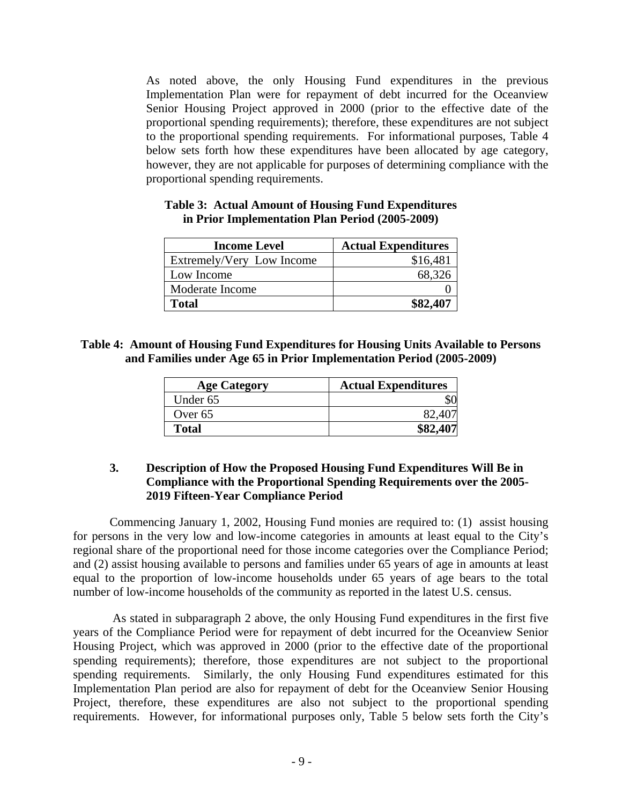<span id="page-11-0"></span>As noted above, the only Housing Fund expenditures in the previous Implementation Plan were for repayment of debt incurred for the Oceanview Senior Housing Project approved in 2000 (prior to the effective date of the proportional spending requirements); therefore, these expenditures are not subject to the proportional spending requirements. For informational purposes, Table 4 below sets forth how these expenditures have been allocated by age category, however, they are not applicable for purposes of determining compliance with the proportional spending requirements.

| <b>Income Level</b>       | <b>Actual Expenditures</b> |
|---------------------------|----------------------------|
| Extremely/Very Low Income | \$16,481                   |
| Low Income                | 68,326                     |
| Moderate Income           |                            |
| Total                     | \$82,407                   |

# **Table 3: Actual Amount of Housing Fund Expenditures in Prior Implementation Plan Period (2005-2009)**

# **Table 4: Amount of Housing Fund Expenditures for Housing Units Available to Persons and Families under Age 65 in Prior Implementation Period (2005-2009)**

| <b>Age Category</b> | <b>Actual Expenditures</b> |
|---------------------|----------------------------|
| Under 65            |                            |
| Over 65             |                            |
| <b>Total</b>        |                            |

# **3. Description of How the Proposed Housing Fund Expenditures Will Be in Compliance with the Proportional Spending Requirements over the 2005- 2019 Fifteen-Year Compliance Period**

Commencing January 1, 2002, Housing Fund monies are required to: (1) assist housing for persons in the very low and low-income categories in amounts at least equal to the City's regional share of the proportional need for those income categories over the Compliance Period; and (2) assist housing available to persons and families under 65 years of age in amounts at least equal to the proportion of low-income households under 65 years of age bears to the total number of low-income households of the community as reported in the latest U.S. census.

 As stated in subparagraph 2 above, the only Housing Fund expenditures in the first five years of the Compliance Period were for repayment of debt incurred for the Oceanview Senior Housing Project, which was approved in 2000 (prior to the effective date of the proportional spending requirements); therefore, those expenditures are not subject to the proportional spending requirements. Similarly, the only Housing Fund expenditures estimated for this Implementation Plan period are also for repayment of debt for the Oceanview Senior Housing Project, therefore, these expenditures are also not subject to the proportional spending requirements. However, for informational purposes only, Table 5 below sets forth the City's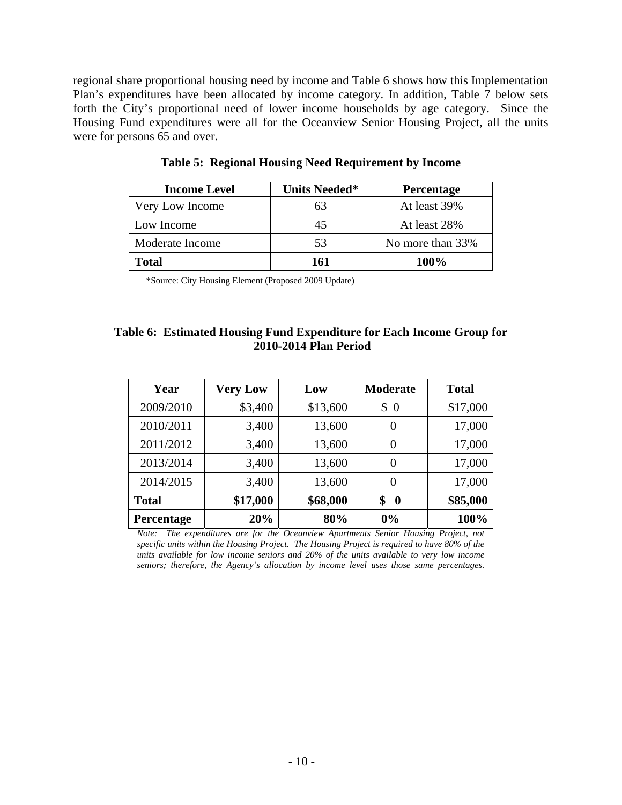<span id="page-12-0"></span>regional share proportional housing need by income and Table 6 shows how this Implementation Plan's expenditures have been allocated by income category. In addition, Table 7 below sets forth the City's proportional need of lower income households by age category. Since the Housing Fund expenditures were all for the Oceanview Senior Housing Project, all the units were for persons 65 and over.

| <b>Income Level</b> | <b>Units Needed*</b> | Percentage       |
|---------------------|----------------------|------------------|
| Very Low Income     | 63                   | At least 39%     |
| Low Income          | 45                   | At least 28%     |
| Moderate Income     | 53                   | No more than 33% |
| Total               | 161                  | 100%             |

**Table 5: Regional Housing Need Requirement by Income** 

\*Source: City Housing Element (Proposed 2009 Update)

# **Table 6: Estimated Housing Fund Expenditure for Each Income Group for 2010-2014 Plan Period**

| Year         | <b>Very Low</b> | Low      | <b>Moderate</b>      | <b>Total</b> |
|--------------|-----------------|----------|----------------------|--------------|
| 2009/2010    | \$3,400         | \$13,600 | \$<br>$\overline{0}$ | \$17,000     |
| 2010/2011    | 3,400           | 13,600   | $\theta$             | 17,000       |
| 2011/2012    | 3,400           | 13,600   | 0                    | 17,000       |
| 2013/2014    | 3,400           | 13,600   | 0                    | 17,000       |
| 2014/2015    | 3,400           | 13,600   | 0                    | 17,000       |
| <b>Total</b> | \$17,000        | \$68,000 | \$<br>$\bf{0}$       | \$85,000     |
| Percentage   | 20%             | 80%      | 0%                   | 100%         |

*Note: The expenditures are for the Oceanview Apartments Senior Housing Project, not specific units within the Housing Project. The Housing Project is required to have 80% of the units available for low income seniors and 20% of the units available to very low income seniors; therefore, the Agency's allocation by income level uses those same percentages.*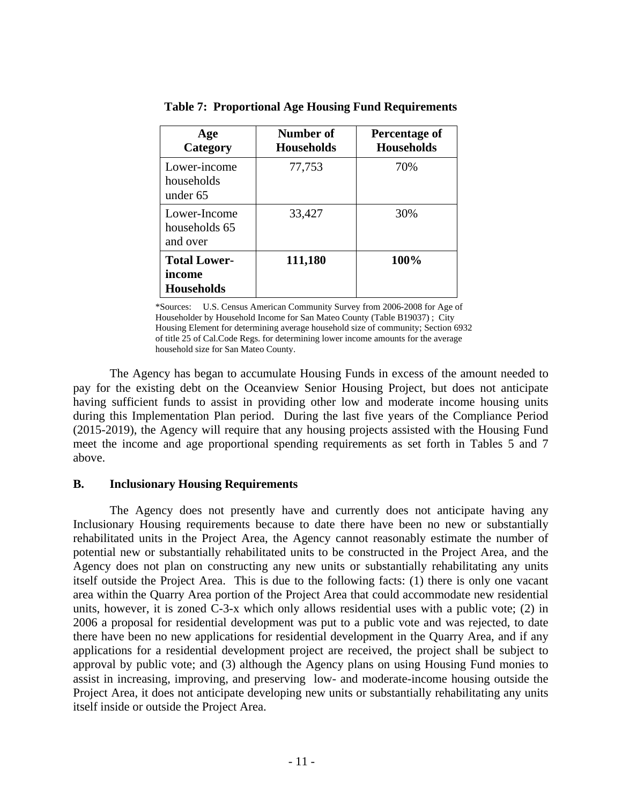| Age<br>Category                             | Number of<br><b>Households</b> | Percentage of<br><b>Households</b> |
|---------------------------------------------|--------------------------------|------------------------------------|
| Lower-income<br>households<br>under 65      | 77,753                         | 70%                                |
| Lower-Income<br>households 65<br>and over   | 33,427                         | 30%                                |
| <b>Total Lower-</b><br>income<br>Households | 111,180                        | 100%                               |

<span id="page-13-0"></span>**Table 7: Proportional Age Housing Fund Requirements** 

\*Sources: U.S. Census American Community Survey from 2006-2008 for Age of Householder by Household Income for San Mateo County (Table B19037) ; City Housing Element for determining average household size of community; Section 6932 of title 25 of Cal.Code Regs. for determining lower income amounts for the average household size for San Mateo County.

The Agency has began to accumulate Housing Funds in excess of the amount needed to pay for the existing debt on the Oceanview Senior Housing Project, but does not anticipate having sufficient funds to assist in providing other low and moderate income housing units during this Implementation Plan period. During the last five years of the Compliance Period (2015-2019), the Agency will require that any housing projects assisted with the Housing Fund meet the income and age proportional spending requirements as set forth in Tables 5 and 7 above.

### **B. Inclusionary Housing Requirements**

The Agency does not presently have and currently does not anticipate having any Inclusionary Housing requirements because to date there have been no new or substantially rehabilitated units in the Project Area, the Agency cannot reasonably estimate the number of potential new or substantially rehabilitated units to be constructed in the Project Area, and the Agency does not plan on constructing any new units or substantially rehabilitating any units itself outside the Project Area. This is due to the following facts: (1) there is only one vacant area within the Quarry Area portion of the Project Area that could accommodate new residential units, however, it is zoned C-3-x which only allows residential uses with a public vote; (2) in 2006 a proposal for residential development was put to a public vote and was rejected, to date there have been no new applications for residential development in the Quarry Area, and if any applications for a residential development project are received, the project shall be subject to approval by public vote; and (3) although the Agency plans on using Housing Fund monies to assist in increasing, improving, and preserving low- and moderate-income housing outside the Project Area, it does not anticipate developing new units or substantially rehabilitating any units itself inside or outside the Project Area.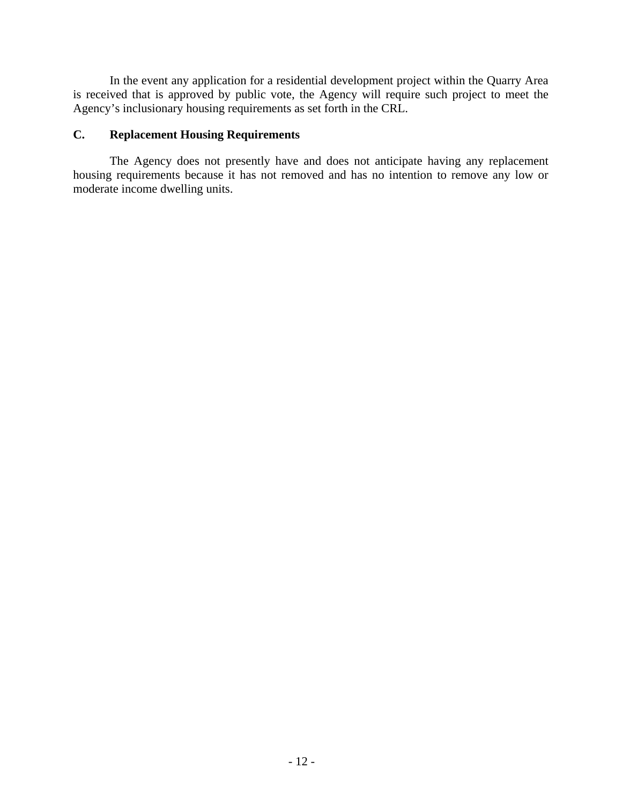<span id="page-14-0"></span>In the event any application for a residential development project within the Quarry Area is received that is approved by public vote, the Agency will require such project to meet the Agency's inclusionary housing requirements as set forth in the CRL.

# **C. Replacement Housing Requirements**

The Agency does not presently have and does not anticipate having any replacement housing requirements because it has not removed and has no intention to remove any low or moderate income dwelling units.